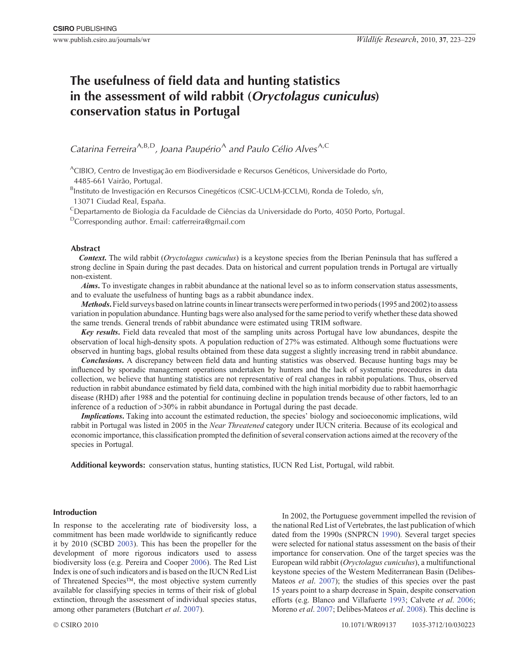# **The usefulness of field data and hunting statistics in the assessment of wild rabbit (***Oryctolagus cuniculus***) conservation status in Portugal**

*Catarina Ferreira*A*,*B*,*D*, Joana Paupério*<sup>A</sup> *and Paulo Célio Alves*A*,*<sup>C</sup>

ACIBIO, Centro de Investigacão em Biodiversidade e Recursos Genéticos, Universidade do Porto, ¸ 4485-661 Vairão, Portugal.

<sup>B</sup>Instituto de Investigación en Recursos Cinegéticos (CSIC-UCLM-JCCLM), Ronda de Toledo, s/n, 13071 Ciudad Real, España.

<sup>C</sup>Departamento de Biologia da Faculdade de Ciências da Universidade do Porto, 4050 Porto, Portugal.

DCorresponding author. Email: catferreira@gmail.com

# **Abstract**

*Context***.** The wild rabbit (*Oryctolagus cuniculus*) is a keystone species from the Iberian Peninsula that has suffered a strong decline in Spain during the past decades. Data on historical and current population trends in Portugal are virtually non-existent.

*Aims***.** To investigate changes in rabbit abundance at the national level so as to inform conservation status assessments, and to evaluate the usefulness of hunting bags as a rabbit abundance index.

*Methods*. Field surveys based on latrine counts in linear transects were performed in two periods (1995 and 2002) to assess variation in population abundance. Hunting bags were also analysed for the same period to verify whether these data showed the same trends. General trends of rabbit abundance were estimated using TRIM software.

*Key results***.** Field data revealed that most of the sampling units across Portugal have low abundances, despite the observation of local high-density spots. A population reduction of 27% was estimated. Although some fluctuations were observed in hunting bags, global results obtained from these data suggest a slightly increasing trend in rabbit abundance.

*Conclusions***.** A discrepancy between field data and hunting statistics was observed. Because hunting bags may be influenced by sporadic management operations undertaken by hunters and the lack of systematic procedures in data collection, we believe that hunting statistics are not representative of real changes in rabbit populations. Thus, observed reduction in rabbit abundance estimated by field data, combined with the high initial morbidity due to rabbit haemorrhagic disease (RHD) after 1988 and the potential for continuing decline in population trends because of other factors, led to an inference of a reduction of >30% in rabbit abundance in Portugal during the past decade.

*Implications***.** Taking into account the estimated reduction, the species' biology and socioeconomic implications, wild rabbit in Portugal was listed in 2005 in the *Near Threatened* category under IUCN criteria. Because of its ecological and economic importance, this classification prompted the definition of several conservation actions aimed at the recovery of the species in Portugal.

**Additional keywords:** conservation status, hunting statistics, IUCN Red List, Portugal, wild rabbit.

# **Introduction**

In response to the accelerating rate of biodiversity loss, a commitment has been made worldwide to significantly reduce it by 2010 (SCBD [2003\)](#page-6-0). This has been the propeller for the development of more rigorous indicators used to assess biodiversity loss (e.g. Pereira and Cooper [2006\)](#page-6-0). The Red List Index is one of such indicators and is based on the IUCN Red List of Threatened Species™, the most objective system currently available for classifying species in terms of their risk of global extinction, through the assessment of individual species status, among other parameters (Butchart *et al*. [2007\)](#page-5-0).

In 2002, the Portuguese government impelled the revision of the national Red List of Vertebrates, the last publication of which dated from the 1990s (SNPRCN [1990\)](#page-6-0). Several target species were selected for national status assessment on the basis of their importance for conservation. One of the target species was the European wild rabbit (*Oryctolagus cuniculus*), a multifunctional keystone species of the Western Mediterranean Basin (Delibes-Mateos *et al*. [2007\)](#page-5-0); the studies of this species over the past 15 years point to a sharp decrease in Spain, despite conservation efforts (e.g. Blanco and Villafuerte [1993](#page-5-0); Calvete *et al*. [2006;](#page-5-0) Moreno *et al*. [2007;](#page-6-0) Delibes-Mateos *et al*. [2008\)](#page-5-0). This decline is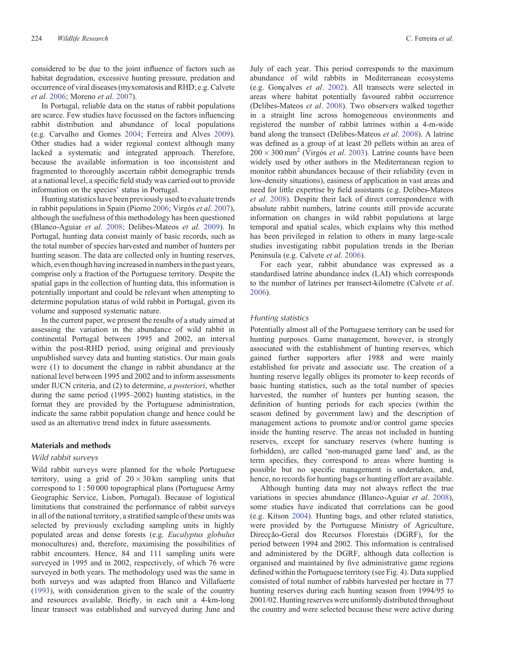considered to be due to the joint influence of factors such as habitat degradation, excessive hunting pressure, predation and occurrence of viral diseases (myxomatosis and RHD; e.g. Calvete *et al*. [2006](#page-5-0); Moreno *et al*. [2007\)](#page-6-0).

In Portugal, reliable data on the status of rabbit populations are scarce. Few studies have focussed on the factors influencing rabbit distribution and abundance of local populations (e.g. Carvalho and Gomes [2004;](#page-5-0) Ferreira and Alves [2009](#page-6-0)). Other studies had a wider regional context although many lacked a systematic and integrated approach. Therefore, because the available information is too inconsistent and fragmented to thoroughly ascertain rabbit demographic trends at a national level, a specific field study was carried out to provide information on the species' status in Portugal.

Hunting statistics have been previously used to evaluate trends in rabbit populations in Spain (Piorno [2006](#page-6-0); Virgós *et al*. [2007](#page-6-0)), although the usefulness of this methodology has been questioned (Blanco-Aguiar *et al*. [2008;](#page-5-0) Delibes-Mateos *et al*. [2009](#page-5-0)). In Portugal, hunting data consist mainly of basic records, such as the total number of species harvested and number of hunters per hunting season. The data are collected only in hunting reserves, which, even though having increased in numbers in the past years, comprise only a fraction of the Portuguese territory. Despite the spatial gaps in the collection of hunting data, this information is potentially important and could be relevant when attempting to determine population status of wild rabbit in Portugal, given its volume and supposed systematic nature.

In the current paper, we present the results of a study aimed at assessing the variation in the abundance of wild rabbit in continental Portugal between 1995 and 2002, an interval within the post-RHD period, using original and previously unpublished survey data and hunting statistics. Our main goals were (1) to document the change in rabbit abundance at the national level between 1995 and 2002 and to inform assessments under IUCN criteria, and (2) to determine, *a posteriori*, whether during the same period (1995–2002) hunting statistics, in the format they are provided by the Portuguese administration, indicate the same rabbit population change and hence could be used as an alternative trend index in future assessments.

# **Materials and methods**

## *Wild rabbit surveys*

Wild rabbit surveys were planned for the whole Portuguese territory, using a grid of  $20 \times 30 \text{ km}$  sampling units that correspond to 1 : 50 000 topographical plans (Portuguese Army Geographic Service, Lisbon, Portugal). Because of logistical limitations that constrained the performance of rabbit surveys in all of the national territory, a stratified sample of these units was selected by previously excluding sampling units in highly populated areas and dense forests (e.g. *Eucalyptus globulus* monocultures) and, therefore, maximising the possibilities of rabbit encounters. Hence, 84 and 111 sampling units were surveyed in 1995 and in 2002, respectively, of which 76 were surveyed in both years. The methodology used was the same in both surveys and was adapted from Blanco and Villafuerte ([1993\)](#page-5-0), with consideration given to the scale of the country and resources available. Briefly, in each unit a 4-km-long linear transect was established and surveyed during June and

July of each year. This period corresponds to the maximum abundance of wild rabbits in Mediterranean ecosystems (e.g. Gonçalves *et al.* [2002](#page-6-0)). All transects were selected in areas where habitat potentially favoured rabbit occurrence (Delibes-Mateos *et al*. [2008](#page-5-0)). Two observers walked together in a straight line across homogeneous environments and registered the number of rabbit latrines within a 4-m-wide band along the transect (Delibes-Mateos *et al*. [2008](#page-5-0)). A latrine was defined as a group of at least 20 pellets within an area of  $200 \times 300$  mm<sup>2</sup> (Virgós *et al.* [2003](#page-6-0)). Latrine counts have been widely used by other authors in the Mediterranean region to monitor rabbit abundances because of their reliability (even in low-density situations), easiness of application in vast areas and need for little expertise by field assistants (e.g. Delibes-Mateos *et al*. [2008](#page-5-0)). Despite their lack of direct correspondence with absolute rabbit numbers, latrine counts still provide accurate information on changes in wild rabbit populations at large temporal and spatial scales, which explains why this method has been privileged in relation to others in many large-scale studies investigating rabbit population trends in the Iberian Peninsula (e.g. Calvete *et al*. [2006](#page-5-0)).

For each year, rabbit abundance was expressed as a standardised latrine abundance index (LAI) which corresponds to the number of latrines per transect-kilometre (Calvete *et al*. [2006\)](#page-5-0).

## *Hunting statistics*

Potentially almost all of the Portuguese territory can be used for hunting purposes. Game management, however, is strongly associated with the establishment of hunting reserves, which gained further supporters after 1988 and were mainly established for private and associate use. The creation of a hunting reserve legally obliges its promoter to keep records of basic hunting statistics, such as the total number of species harvested, the number of hunters per hunting season, the definition of hunting periods for each species (within the season defined by government law) and the description of management actions to promote and/or control game species inside the hunting reserve. The areas not included in hunting reserves, except for sanctuary reserves (where hunting is forbidden), are called 'non-managed game land' and, as the term specifies, they correspond to areas where hunting is possible but no specific management is undertaken, and, hence, no records for hunting bags or hunting effort are available.

Although hunting data may not always reflect the true variations in species abundance (Blanco-Aguiar *et al*. [2008](#page-5-0)), some studies have indicated that correlations can be good (e.g. Kitson [2004\)](#page-6-0). Hunting bags, and other related statistics, were provided by the Portuguese Ministry of Agriculture, Direcção-Geral dos Recursos Florestais (DGRF), for the period between 1994 and 2002. This information is centralised and administered by the DGRF, although data collection is organised and maintained by five administrative game regions defined within the Portuguese territory (see Fig. 4). Data supplied consisted of total number of rabbits harvested per hectare in 77 hunting reserves during each hunting season from 1994/95 to 2001/02. Hunting reserves were uniformly distributed throughout the country and were selected because these were active during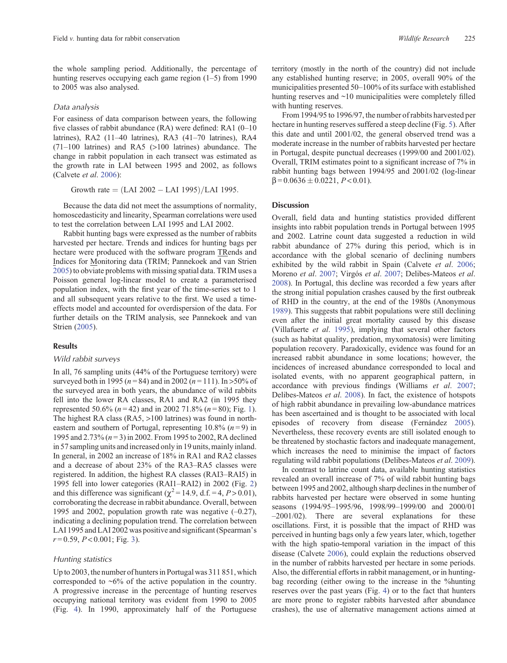the whole sampling period. Additionally, the percentage of hunting reserves occupying each game region (1–5) from 1990 to 2005 was also analysed.

#### *Data analysis*

For easiness of data comparison between years, the following five classes of rabbit abundance (RA) were defined: RA1 (0-10) latrines), RA2 (11–40 latrines), RA3 (41–70 latrines), RA4 (71–100 latrines) and RA5 (>100 latrines) abundance. The change in rabbit population in each transect was estimated as the growth rate in LAI between 1995 and 2002, as follows (Calvete *et al*. [2006](#page-5-0)):

Growth rate =  $(LAI 2002 - LAI 1995)/LAI 1995$ .

Because the data did not meet the assumptions of normality, homoscedasticity and linearity, Spearman correlations were used to test the correlation between LAI 1995 and LAI 2002.

Rabbit hunting bags were expressed as the number of rabbits harvested per hectare. Trends and indices for hunting bags per hectare were produced with the software program TRends and Indices for Monitoring data (TRIM; Pannekoek and van Strien [2005](#page-6-0)) to obviate problems with missing spatial data. TRIM uses a Poisson general log-linear model to create a parameterised population index, with the first year of the time-series set to 1 and all subsequent years relative to the first. We used a timeeffects model and accounted for overdispersion of the data. For further details on the TRIM analysis, see Pannekoek and van Strien [\(2005](#page-6-0)).

#### **Results**

#### *Wild rabbit surveys*

In all, 76 sampling units (44% of the Portuguese territory) were surveyed both in 1995 (*n* = 84) and in 2002 (*n* = 111). In >50% of the surveyed area in both years, the abundance of wild rabbits fell into the lower RA classes, RA1 and RA2 (in 1995 they represented 50.6% (*n* = 42) and in 2002 71.8% (*n* = 80); Fig. [1](#page-3-0)). The highest RA class (RA5, >100 latrines) was found in northeastern and southern of Portugal, representing  $10.8\%$  ( $n=9$ ) in 1995 and 2.73% (*n* = 3) in 2002. From 1995 to 2002, RA declined in 57 sampling units and increased only in 19 units, mainly inland. In general, in 2002 an increase of 18% in RA1 and RA2 classes and a decrease of about 23% of the RA3–RA5 classes were registered. In addition, the highest RA classes (RAI3–RAI5) in 1995 fell into lower categories (RAI1–RAI2) in 2002 (Fig. [2](#page-3-0)) and this difference was significant ( $\chi^2$  = 14.9, d.f. = 4, *P* > 0.01), corroborating the decrease in rabbit abundance. Overall, between 1995 and 2002, population growth rate was negative  $(-0.27)$ , indicating a declining population trend. The correlation between LAI 1995 and LAI 2002 was positive and significant (Spearman's *r* = 0.59, *P* < 0.001; Fig. [3\)](#page-4-0).

### *Hunting statistics*

Up to 2003, the number of hunters in Portugal was 311 851, which corresponded to  $\sim 6\%$  of the active population in the country. A progressive increase in the percentage of hunting reserves occupying national territory was evident from 1990 to 2005 (Fig. [4\)](#page-4-0). In 1990, approximately half of the Portuguese territory (mostly in the north of the country) did not include any established hunting reserve; in 2005, overall 90% of the municipalities presented 50–100% of its surface with established hunting reserves and ~10 municipalities were completely filled with hunting reserves.

From 1994/95 to 1996/97, the number of rabbits harvested per hectare in hunting reserves suffered a steep decline (Fig. [5\)](#page-5-0). After this date and until 2001/02, the general observed trend was a moderate increase in the number of rabbits harvested per hectare in Portugal, despite punctual decreases (1999/00 and 2001/02). Overall, TRIM estimates point to a significant increase of 7% in rabbit hunting bags between 1994/95 and 2001/02 (log-linear  $\beta$  = 0.0636  $\pm$  0.0221, *P* < 0.01).

## **Discussion**

Overall, field data and hunting statistics provided different insights into rabbit population trends in Portugal between 1995 and 2002. Latrine count data suggested a reduction in wild rabbit abundance of 27% during this period, which is in accordance with the global scenario of declining numbers exhibited by the wild rabbit in Spain (Calvete *et al*. [2006;](#page-5-0) Moreno *et al*. [2007](#page-6-0); Virgós *et al*. [2007;](#page-6-0) Delibes-Mateos *et al*. [2008](#page-5-0)). In Portugal, this decline was recorded a few years after the strong initial population crashes caused by the first outbreak of RHD in the country, at the end of the 1980s (Anonymous [1989](#page-5-0)). This suggests that rabbit populations were still declining even after the initial great mortality caused by this disease (Villafuerte *et al*. [1995\)](#page-6-0), implying that several other factors (such as habitat quality, predation, myxomatosis) were limiting population recovery. Paradoxically, evidence was found for an increased rabbit abundance in some locations; however, the incidences of increased abundance corresponded to local and isolated events, with no apparent geographical pattern, in accordance with previous findings (Williams *et al*. [2007;](#page-6-0) Delibes-Mateos *et al*. [2008\)](#page-5-0). In fact, the existence of hotspots of high rabbit abundance in prevailing low-abundance matrices has been ascertained and is thought to be associated with local episodes of recovery from disease (Fernández [2005](#page-5-0)). Nevertheless, these recovery events are still isolated enough to be threatened by stochastic factors and inadequate management, which increases the need to minimise the impact of factors regulating wild rabbit populations (Delibes-Mateos *et al*. [2009](#page-5-0)).

In contrast to latrine count data, available hunting statistics revealed an overall increase of 7% of wild rabbit hunting bags between 1995 and 2002, although sharp declines in the number of rabbits harvested per hectare were observed in some hunting seasons (1994/95–1995/96, 1998/99–1999/00 and 2000/01 –2001/02). There are several explanations for these oscillations. First, it is possible that the impact of RHD was perceived in hunting bags only a few years later, which, together with the high spatio-temporal variation in the impact of this disease (Calvete [2006\)](#page-5-0), could explain the reductions observed in the number of rabbits harvested per hectare in some periods. Also, the differential efforts in rabbit management, or in huntingbag recording (either owing to the increase in the %hunting reserves over the past years (Fig. [4](#page-4-0)) or to the fact that hunters are more prone to register rabbits harvested after abundance crashes), the use of alternative management actions aimed at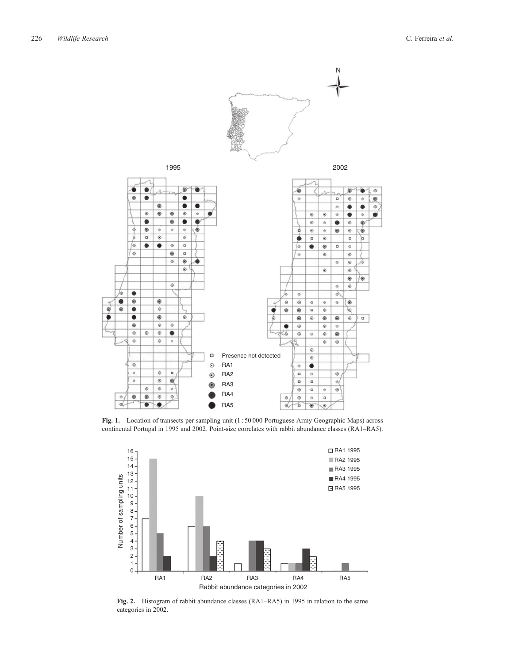<span id="page-3-0"></span>

Fig. 1. Location of transects per sampling unit  $(1:50000$  Portuguese Army Geographic Maps) across continental Portugal in 1995 and 2002. Point-size correlates with rabbit abundance classes (RA1–RA5).



**Fig. 2.** Histogram of rabbit abundance classes (RA1–RA5) in 1995 in relation to the same categories in 2002.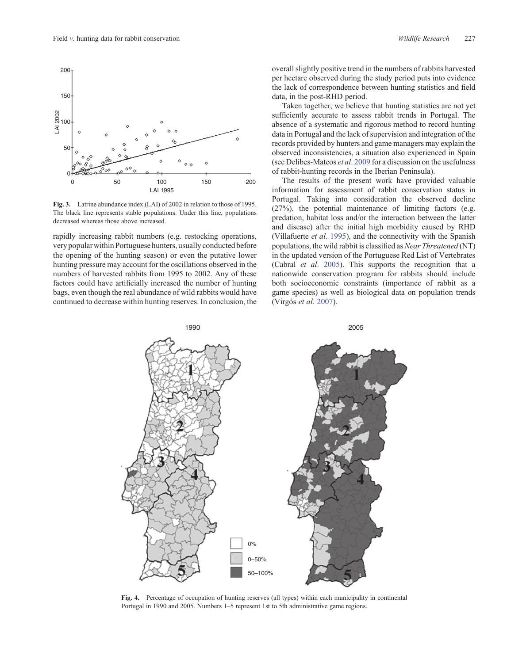

<span id="page-4-0"></span>

**Fig. 3.** Latrine abundance index (LAI) of 2002 in relation to those of 1995. The black line represents stable populations. Under this line, populations decreased whereas those above increased.

rapidly increasing rabbit numbers (e.g. restocking operations, very popular within Portuguese hunters, usually conducted before the opening of the hunting season) or even the putative lower hunting pressure may account for the oscillations observed in the numbers of harvested rabbits from 1995 to 2002. Any of these factors could have artificially increased the number of hunting bags, even though the real abundance of wild rabbits would have continued to decrease within hunting reserves. In conclusion, the

overall slightly positive trend in the numbers of rabbits harvested per hectare observed during the study period puts into evidence the lack of correspondence between hunting statistics and field data, in the post-RHD period.

Taken together, we believe that hunting statistics are not yet sufficiently accurate to assess rabbit trends in Portugal. The absence of a systematic and rigorous method to record hunting data in Portugal and the lack of supervision and integration of the records provided by hunters and game managers may explain the observed inconsistencies, a situation also experienced in Spain (see Delibes-Mateos *et al*. [2009](#page-5-0) for a discussion on the usefulness of rabbit-hunting records in the Iberian Peninsula).

The results of the present work have provided valuable information for assessment of rabbit conservation status in Portugal. Taking into consideration the observed decline (27%), the potential maintenance of limiting factors (e.g. predation, habitat loss and/or the interaction between the latter and disease) after the initial high morbidity caused by RHD (Villafuerte *et al*. [1995\)](#page-6-0), and the connectivity with the Spanish populations, the wild rabbit is classified as*Near Threatened* (NT) in the updated version of the Portuguese Red List of Vertebrates (Cabral *et al*. [2005](#page-5-0)). This supports the recognition that a nationwide conservation program for rabbits should include both socioeconomic constraints (importance of rabbit as a game species) as well as biological data on population trends (Virgós *et al*. [2007](#page-6-0)).



**Fig. 4.** Percentage of occupation of hunting reserves (all types) within each municipality in continental Portugal in 1990 and 2005. Numbers 1–5 represent 1st to 5th administrative game regions.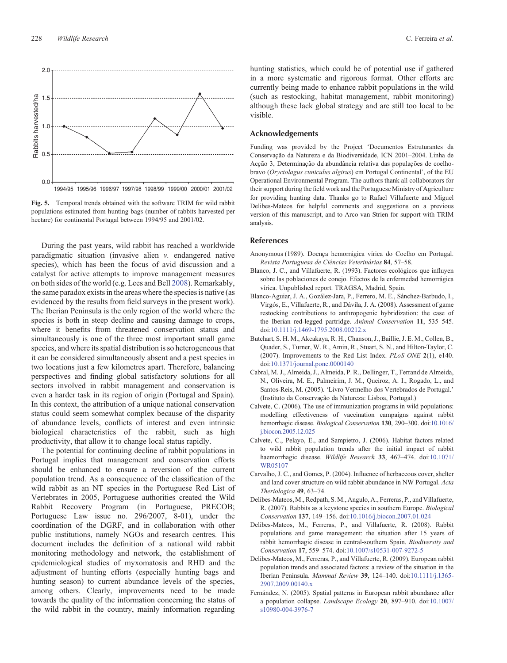<span id="page-5-0"></span>



During the past years, wild rabbit has reached a worldwide paradigmatic situation (invasive alien *v.* endangered native species), which has been the focus of avid discussion and a catalyst for active attempts to improve management measures on both sides of the world (e.g. Lees and Bell [2008\)](#page-6-0). Remarkably, the same paradox exists in the areas where the species is native (as evidenced by the results from field surveys in the present work). The Iberian Peninsula is the only region of the world where the species is both in steep decline and causing damage to crops. where it benefits from threatened conservation status and simultaneously is one of the three most important small game species, and where its spatial distribution is so heterogeneous that it can be considered simultaneously absent and a pest species in two locations just a few kilometres apart. Therefore, balancing perspectives and finding global satisfactory solutions for all sectors involved in rabbit management and conservation is even a harder task in its region of origin (Portugal and Spain). In this context, the attribution of a unique national conservation status could seem somewhat complex because of the disparity of abundance levels, conflicts of interest and even intrinsic biological characteristics of the rabbit, such as high productivity, that allow it to change local status rapidly.

The potential for continuing decline of rabbit populations in Portugal implies that management and conservation efforts should be enhanced to ensure a reversion of the current population trend. As a consequence of the classification of the wild rabbit as an NT species in the Portuguese Red List of Vertebrates in 2005, Portuguese authorities created the Wild Rabbit Recovery Program (in Portuguese, PRECOB; Portuguese Law issue no. 296/2007, 8-01), under the coordination of the DGRF, and in collaboration with other public institutions, namely NGOs and research centres. This document includes the definition of a national wild rabbit monitoring methodology and network, the establishment of epidemiological studies of myxomatosis and RHD and the adjustment of hunting efforts (especially hunting bags and hunting season) to current abundance levels of the species, among others. Clearly, improvements need to be made towards the quality of the information concerning the status of the wild rabbit in the country, mainly information regarding

hunting statistics, which could be of potential use if gathered in a more systematic and rigorous format. Other efforts are currently being made to enhance rabbit populations in the wild (such as restocking, habitat management, rabbit monitoring) although these lack global strategy and are still too local to be visible.

#### **Acknowledgements**

Funding was provided by the Project 'Documentos Estruturantes da Conservação da Natureza e da Biodiversidade, ICN 2001-2004. Linha de Accão 3, Determinação da abundância relativa das populações de coelhobravo (*Oryctolagus cuniculus algirus*) em Portugal Continental', of the EU Operational Environmental Program. The authors thank all collaborators for their support during the field work and the Portuguese Ministry of Agriculture for providing hunting data. Thanks go to Rafael Villafuerte and Miguel Delibes-Mateos for helpful comments and suggestions on a previous version of this manuscript, and to Arco van Strien for support with TRIM analysis.

#### **References**

- Anonymous (1989). Doença hemorrágica vírica do Coelho em Portugal. *Revista Portuguesa de Ciências Veterinárias* **84**, 57–58.
- Blanco, J. C., and Villafuerte, R. (1993). Factores ecológicos que influyen sobre las poblaciones de conejo. Efectos de la enfermedad hemorrágica vírica. Unpublished report. TRAGSA, Madrid, Spain.
- Blanco-Aguiar, J. A., Gozález-Jara, P., Ferrero, M. E., Sánchez-Barbudo, I., Virgós, E., Villafuerte, R., and Dávila, J. A. (2008). Assessment of game restocking contributions to anthropogenic hybridization: the case of the Iberian red-legged partridge. *Animal Conservation* **11**, 535–545. doi[:10.1111/j.1469-1795.2008.00212.x](dx.doi.org/10.1111/j.1469-1795.2008.00212.x)
- Butchart, S. H. M., Akcakaya, R. H., Chanson, J., Baillie, J. E. M., Collen, B., Quader, S., Turner, W. R., Amin, R., Stuart, S. N., and Hilton-Taylor, C. (2007). Improvements to the Red List Index. *PLoS ONE* **2**(1), e140. doi[:10.1371/journal.pone.0000140](dx.doi.org/10.1371/journal.pone.0000140)
- Cabral, M. J., Almeida, J., Almeida, P. R., Dellinger, T., Ferrand de Almeida, N., Oliveira, M. E., Palmeirim, J. M., Queiroz, A. I., Rogado, L., and Santos-Reis, M. (2005). 'Livro Vermelho dos Vertebrados de Portugal.' (Instituto da Conservacão da Natureza: Lisboa, Portugal.) ¸
- Calvete, C. (2006). The use of immunization programs in wild populations: modelling effectiveness of vaccination campaigns against rabbit hemorrhagic disease. *Biological Conservation* **130**, 290–300. doi[:10.1016/](dx.doi.org/10.1016/j.biocon.2005.12.025) [j.biocon.2005.12.025](dx.doi.org/10.1016/j.biocon.2005.12.025)
- Calvete, C., Pelayo, E., and Sampietro, J. (2006). Habitat factors related to wild rabbit population trends after the initial impact of rabbit haemorrhagic disease. *Wildlife Research* **33**, 467–474. doi:[10.1071/](dx.doi.org/10.1071/WR05107) [WR05107](dx.doi.org/10.1071/WR05107)
- Carvalho, J. C., and Gomes, P. (2004). Influence of herbaceous cover, shelter and land cover structure on wild rabbit abundance in NW Portugal. *Acta Theriologica* **49**, 63–74.
- Delibes-Mateos, M., Redpath, S. M., Angulo, A., Ferreras, P., and Villafuerte, R. (2007). Rabbits as a keystone species in southern Europe. *Biological Conservation* **137**, 149–156. doi:[10.1016/j.biocon.2007.01.024](dx.doi.org/10.1016/j.biocon.2007.01.024)
- Delibes-Mateos, M., Ferreras, P., and Villafuerte, R. (2008). Rabbit populations and game management: the situation after 15 years of rabbit hemorrhagic disease in central-southern Spain. *Biodiversity and Conservation* **17**, 559–574. doi[:10.1007/s10531-007-9272-5](dx.doi.org/10.1007/s10531-007-9272-5)
- Delibes-Mateos, M., Ferreras, P., and Villafuerte, R. (2009). European rabbit population trends and associated factors: a review of the situation in the Iberian Peninsula. *Mammal Review* **39**, 124–140. doi[:10.1111/j.1365-](dx.doi.org/10.1111/j.1365-2907.2009.00140.x) [2907.2009.00140.x](dx.doi.org/10.1111/j.1365-2907.2009.00140.x)
- Fernández, N. (2005). Spatial patterns in European rabbit abundance after a population collapse. *Landscape Ecology* **20**, 897–910. doi:[10.1007/](dx.doi.org/10.1007/s10980-004-3976-7) [s10980-004-3976-7](dx.doi.org/10.1007/s10980-004-3976-7)